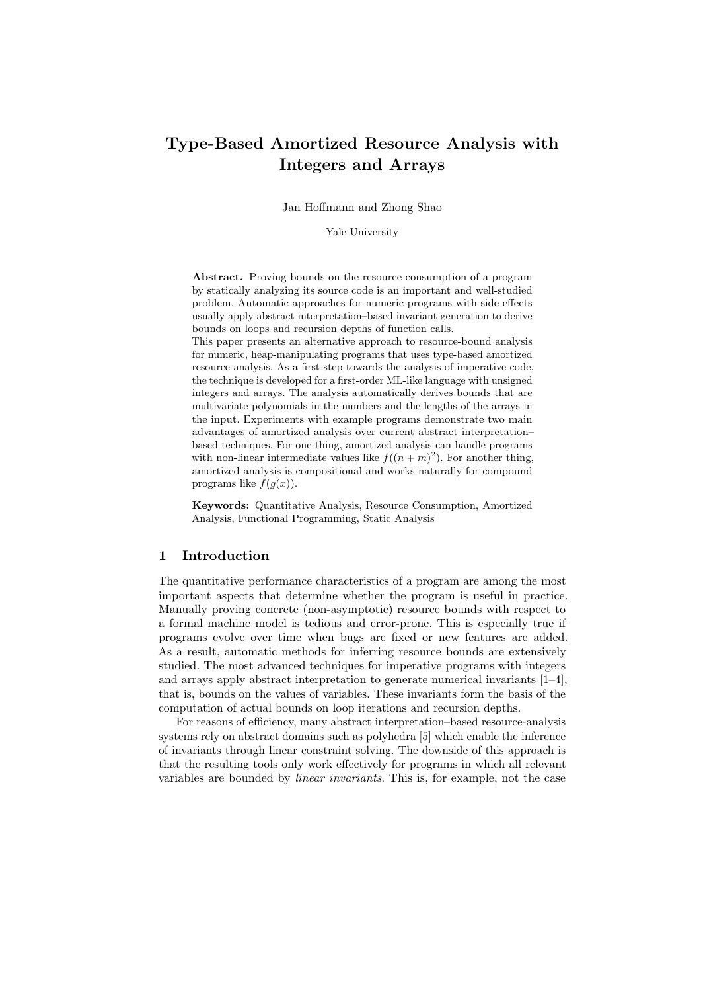# Type-Based Amortized Resource Analysis with Integers and Arrays

Jan Hoffmann and Zhong Shao

Yale University

Abstract. Proving bounds on the resource consumption of a program by statically analyzing its source code is an important and well-studied problem. Automatic approaches for numeric programs with side effects usually apply abstract interpretation–based invariant generation to derive bounds on loops and recursion depths of function calls.

This paper presents an alternative approach to resource-bound analysis for numeric, heap-manipulating programs that uses type-based amortized resource analysis. As a first step towards the analysis of imperative code, the technique is developed for a first-order ML-like language with unsigned integers and arrays. The analysis automatically derives bounds that are multivariate polynomials in the numbers and the lengths of the arrays in the input. Experiments with example programs demonstrate two main advantages of amortized analysis over current abstract interpretation– based techniques. For one thing, amortized analysis can handle programs with non-linear intermediate values like  $f((n + m)^2)$ . For another thing, amortized analysis is compositional and works naturally for compound programs like  $f(g(x))$ .

Keywords: Quantitative Analysis, Resource Consumption, Amortized Analysis, Functional Programming, Static Analysis

## 1 Introduction

The quantitative performance characteristics of a program are among the most important aspects that determine whether the program is useful in practice. Manually proving concrete (non-asymptotic) resource bounds with respect to a formal machine model is tedious and error-prone. This is especially true if programs evolve over time when bugs are fixed or new features are added. As a result, automatic methods for inferring resource bounds are extensively studied. The most advanced techniques for imperative programs with integers and arrays apply abstract interpretation to generate numerical invariants [1–4], that is, bounds on the values of variables. These invariants form the basis of the computation of actual bounds on loop iterations and recursion depths.

For reasons of efficiency, many abstract interpretation–based resource-analysis systems rely on abstract domains such as polyhedra [5] which enable the inference of invariants through linear constraint solving. The downside of this approach is that the resulting tools only work effectively for programs in which all relevant variables are bounded by linear invariants. This is, for example, not the case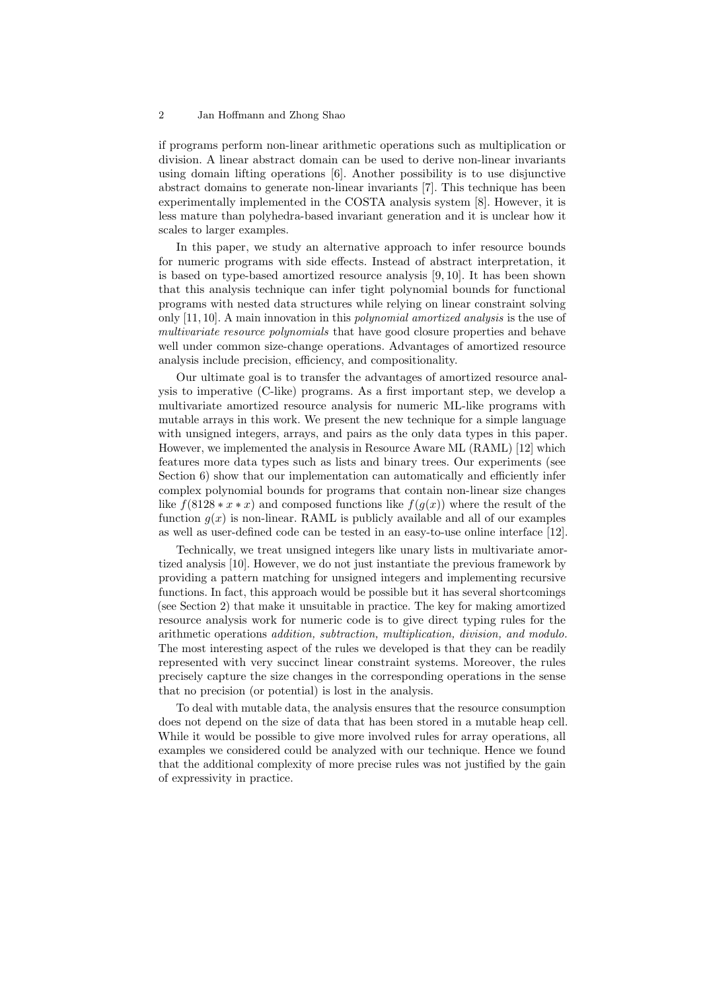if programs perform non-linear arithmetic operations such as multiplication or division. A linear abstract domain can be used to derive non-linear invariants using domain lifting operations [6]. Another possibility is to use disjunctive abstract domains to generate non-linear invariants [7]. This technique has been experimentally implemented in the COSTA analysis system [8]. However, it is less mature than polyhedra-based invariant generation and it is unclear how it scales to larger examples.

In this paper, we study an alternative approach to infer resource bounds for numeric programs with side effects. Instead of abstract interpretation, it is based on type-based amortized resource analysis [9, 10]. It has been shown that this analysis technique can infer tight polynomial bounds for functional programs with nested data structures while relying on linear constraint solving only [11, 10]. A main innovation in this polynomial amortized analysis is the use of multivariate resource polynomials that have good closure properties and behave well under common size-change operations. Advantages of amortized resource analysis include precision, efficiency, and compositionality.

Our ultimate goal is to transfer the advantages of amortized resource analysis to imperative (C-like) programs. As a first important step, we develop a multivariate amortized resource analysis for numeric ML-like programs with mutable arrays in this work. We present the new technique for a simple language with unsigned integers, arrays, and pairs as the only data types in this paper. However, we implemented the analysis in Resource Aware ML (RAML) [12] which features more data types such as lists and binary trees. Our experiments (see Section 6) show that our implementation can automatically and efficiently infer complex polynomial bounds for programs that contain non-linear size changes like  $f(8128 * x * x)$  and composed functions like  $f(g(x))$  where the result of the function  $g(x)$  is non-linear. RAML is publicly available and all of our examples as well as user-defined code can be tested in an easy-to-use online interface [12].

Technically, we treat unsigned integers like unary lists in multivariate amortized analysis [10]. However, we do not just instantiate the previous framework by providing a pattern matching for unsigned integers and implementing recursive functions. In fact, this approach would be possible but it has several shortcomings (see Section 2) that make it unsuitable in practice. The key for making amortized resource analysis work for numeric code is to give direct typing rules for the arithmetic operations addition, subtraction, multiplication, division, and modulo. The most interesting aspect of the rules we developed is that they can be readily represented with very succinct linear constraint systems. Moreover, the rules precisely capture the size changes in the corresponding operations in the sense that no precision (or potential) is lost in the analysis.

To deal with mutable data, the analysis ensures that the resource consumption does not depend on the size of data that has been stored in a mutable heap cell. While it would be possible to give more involved rules for array operations, all examples we considered could be analyzed with our technique. Hence we found that the additional complexity of more precise rules was not justified by the gain of expressivity in practice.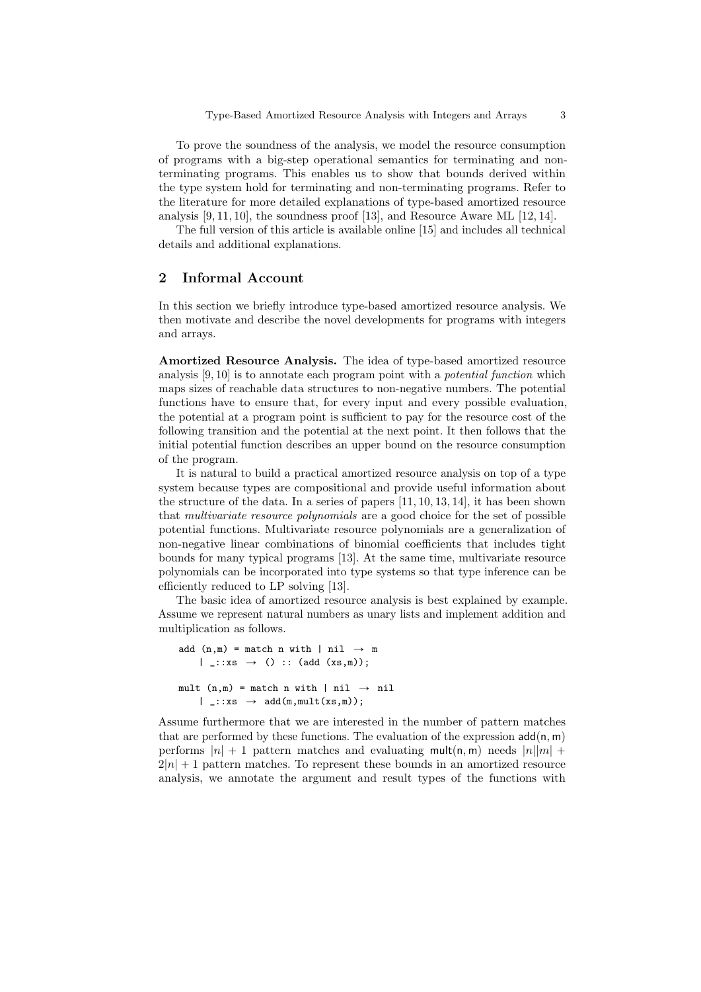To prove the soundness of the analysis, we model the resource consumption of programs with a big-step operational semantics for terminating and nonterminating programs. This enables us to show that bounds derived within the type system hold for terminating and non-terminating programs. Refer to the literature for more detailed explanations of type-based amortized resource analysis [9, 11, 10], the soundness proof [13], and Resource Aware ML [12, 14].

The full version of this article is available online [15] and includes all technical details and additional explanations.

# 2 Informal Account

In this section we briefly introduce type-based amortized resource analysis. We then motivate and describe the novel developments for programs with integers and arrays.

Amortized Resource Analysis. The idea of type-based amortized resource analysis [9, 10] is to annotate each program point with a potential function which maps sizes of reachable data structures to non-negative numbers. The potential functions have to ensure that, for every input and every possible evaluation, the potential at a program point is sufficient to pay for the resource cost of the following transition and the potential at the next point. It then follows that the initial potential function describes an upper bound on the resource consumption of the program.

It is natural to build a practical amortized resource analysis on top of a type system because types are compositional and provide useful information about the structure of the data. In a series of papers [11, 10, 13, 14], it has been shown that multivariate resource polynomials are a good choice for the set of possible potential functions. Multivariate resource polynomials are a generalization of non-negative linear combinations of binomial coefficients that includes tight bounds for many typical programs [13]. At the same time, multivariate resource polynomials can be incorporated into type systems so that type inference can be efficiently reduced to LP solving [13].

The basic idea of amortized resource analysis is best explained by example. Assume we represent natural numbers as unary lists and implement addition and multiplication as follows.

```
add (n,m) = match n with | nil \rightarrow m
    | _::xs \rightarrow () :: (add (xs,m));
mult (n,m) = match n with | nil \rightarrow nil
    |\cdot|::xs \rightarrow add(m,mult(xs,m));
```
Assume furthermore that we are interested in the number of pattern matches that are performed by these functions. The evaluation of the expression  $add(n, m)$ performs  $|n| + 1$  pattern matches and evaluating mult $(n, m)$  needs  $|n||m| +$  $2|n| + 1$  pattern matches. To represent these bounds in an amortized resource analysis, we annotate the argument and result types of the functions with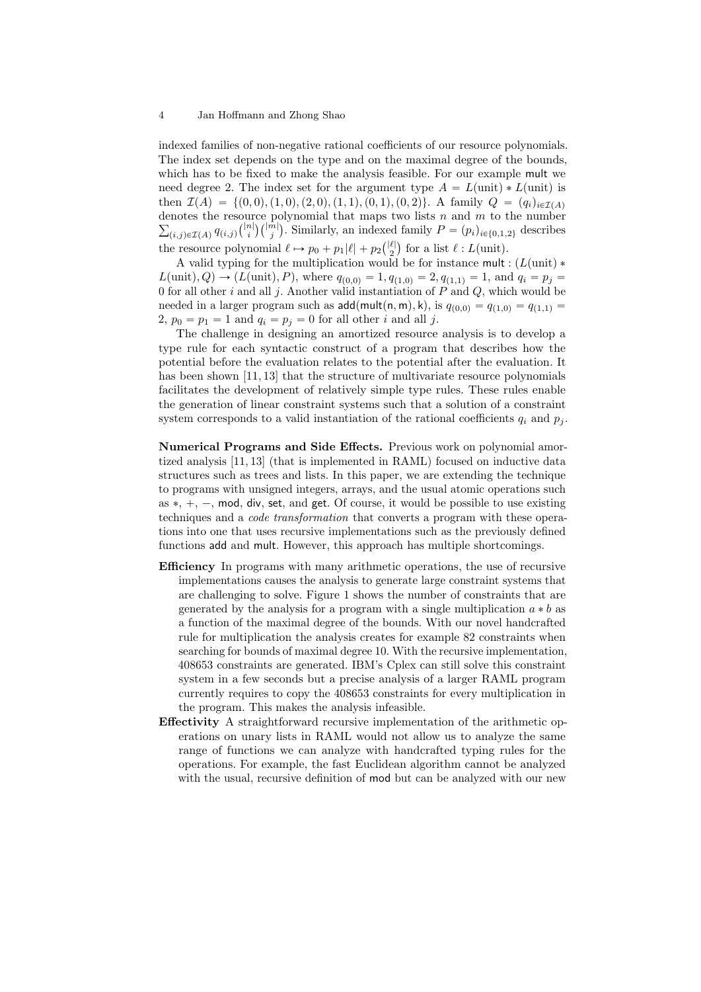indexed families of non-negative rational coefficients of our resource polynomials. The index set depends on the type and on the maximal degree of the bounds, which has to be fixed to make the analysis feasible. For our example mult we need degree 2. The index set for the argument type  $A = L(\text{unit}) * L(\text{unit})$  is then  $\mathcal{I}(A) = \{(0, 0), (1, 0), (2, 0), (1, 1), (0, 1), (0, 2)\}\.$  A family  $Q = (q_i)_{i \in \mathcal{I}(A)}$ denotes the resource polynomial that maps two lists n and m to the number notes the resource polynomial that maps two lists *n* and *m* to the number  $(i,j) \in \mathcal{I}(A)$   $q(i,j) { |n| \choose i} { |m| \choose j}$ . Similarly, an indexed family  $P = (p_i)_{i \in \{0,1,2\}}$  describes the resource polynomial  $\ell \mapsto p_0 + p_1|\ell| + p_2{\binom{|\ell|}{2}}$  for a list  $\ell : L(\text{unit})$ .

A valid typing for the multiplication would be for instance mult  $: (L(\text{unit}) *$  $L(\text{unit}), Q) \rightarrow (L(\text{unit}), P)$ , where  $q_{(0,0)} = 1, q_{(1,0)} = 2, q_{(1,1)} = 1$ , and  $q_i = p_j =$ 0 for all other i and all j. Another valid instantiation of  $P$  and  $Q$ , which would be needed in a larger program such as  $add(mult(n, m), k)$ , is  $q_{(0,0)} = q_{(1,0)} = q_{(1,1)} =$ 2,  $p_0 = p_1 = 1$  and  $q_i = p_j = 0$  for all other i and all j.

The challenge in designing an amortized resource analysis is to develop a type rule for each syntactic construct of a program that describes how the potential before the evaluation relates to the potential after the evaluation. It has been shown [11, 13] that the structure of multivariate resource polynomials facilitates the development of relatively simple type rules. These rules enable the generation of linear constraint systems such that a solution of a constraint system corresponds to a valid instantiation of the rational coefficients  $q_i$  and  $p_j$ .

Numerical Programs and Side Effects. Previous work on polynomial amortized analysis [11, 13] (that is implemented in RAML) focused on inductive data structures such as trees and lists. In this paper, we are extending the technique to programs with unsigned integers, arrays, and the usual atomic operations such as  $*, +, -$ , mod, div, set, and get. Of course, it would be possible to use existing techniques and a code transformation that converts a program with these operations into one that uses recursive implementations such as the previously defined functions add and mult. However, this approach has multiple shortcomings.

- Efficiency In programs with many arithmetic operations, the use of recursive implementations causes the analysis to generate large constraint systems that are challenging to solve. Figure 1 shows the number of constraints that are generated by the analysis for a program with a single multiplication  $a * b$  as a function of the maximal degree of the bounds. With our novel handcrafted rule for multiplication the analysis creates for example 82 constraints when searching for bounds of maximal degree 10. With the recursive implementation, 408653 constraints are generated. IBM's Cplex can still solve this constraint system in a few seconds but a precise analysis of a larger RAML program currently requires to copy the 408653 constraints for every multiplication in the program. This makes the analysis infeasible.
- Effectivity A straightforward recursive implementation of the arithmetic operations on unary lists in RAML would not allow us to analyze the same range of functions we can analyze with handcrafted typing rules for the operations. For example, the fast Euclidean algorithm cannot be analyzed with the usual, recursive definition of mod but can be analyzed with our new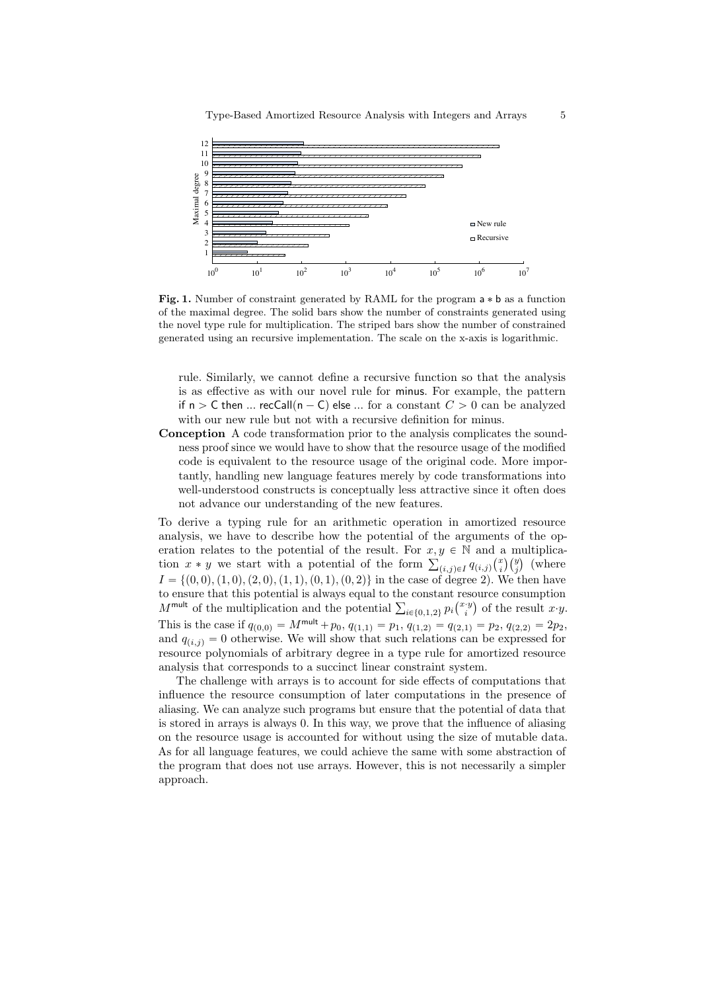

Fig. 1. Number of constraint generated by RAML for the program  $a * b$  as a function of the maximal degree. The solid bars show the number of constraints generated using the novel type rule for multiplication. The striped bars show the number of constrained generated using an recursive implementation. The scale on the x-axis is logarithmic.

rule. Similarly, we cannot define a recursive function so that the analysis is as effective as with our novel rule for minus. For example, the pattern if  $n > C$  then ... recCall( $n - C$ ) else ... for a constant  $C > 0$  can be analyzed with our new rule but not with a recursive definition for minus.

Conception A code transformation prior to the analysis complicates the soundness proof since we would have to show that the resource usage of the modified code is equivalent to the resource usage of the original code. More importantly, handling new language features merely by code transformations into well-understood constructs is conceptually less attractive since it often does not advance our understanding of the new features.

To derive a typing rule for an arithmetic operation in amortized resource analysis, we have to describe how the potential of the arguments of the operation relates to the potential of the result. For  $x, y \in \mathbb{N}$  and a multiplica-<br>tion  $x, y, y$  we start with a potential of the form  $\sum_{x, y, y} g(x, y, y)$  (where eration relates to the potential of the result. For  $x, y \in \mathbb{N}$  and a multiplication  $x * y$  we start with a potential of the form  $\sum_{(i,j)\in I} q_{(i,j)} {x \choose i} {y \choose j}$  (where  $I = \{(0, 0), (1, 0), (2, 0), (1, 1), (0, 1), (0, 2)\}\$ in the case of degree 2). We then have to ensure that this potential is always equal to the constant resource consumption to ensure that this potential is always equal to the constant resource consumption  $M^{\text{mult}}$  of the multiplication and the potential  $\sum_{i \in \{0,1,2\}} p_i \binom{x \cdot y}{i}$  of the result  $x \cdot y$ . This is the case if  $q_{(0,0)} = M^{\text{mult}} + p_0$ ,  $q_{(1,1)} = p_1$ ,  $q_{(1,2)} = q_{(2,1)} = p_2$ ,  $q_{(2,2)} = 2p_2$ , and  $q_{(i,j)} = 0$  otherwise. We will show that such relations can be expressed for resource polynomials of arbitrary degree in a type rule for amortized resource analysis that corresponds to a succinct linear constraint system.

The challenge with arrays is to account for side effects of computations that influence the resource consumption of later computations in the presence of aliasing. We can analyze such programs but ensure that the potential of data that is stored in arrays is always 0. In this way, we prove that the influence of aliasing on the resource usage is accounted for without using the size of mutable data. As for all language features, we could achieve the same with some abstraction of the program that does not use arrays. However, this is not necessarily a simpler approach.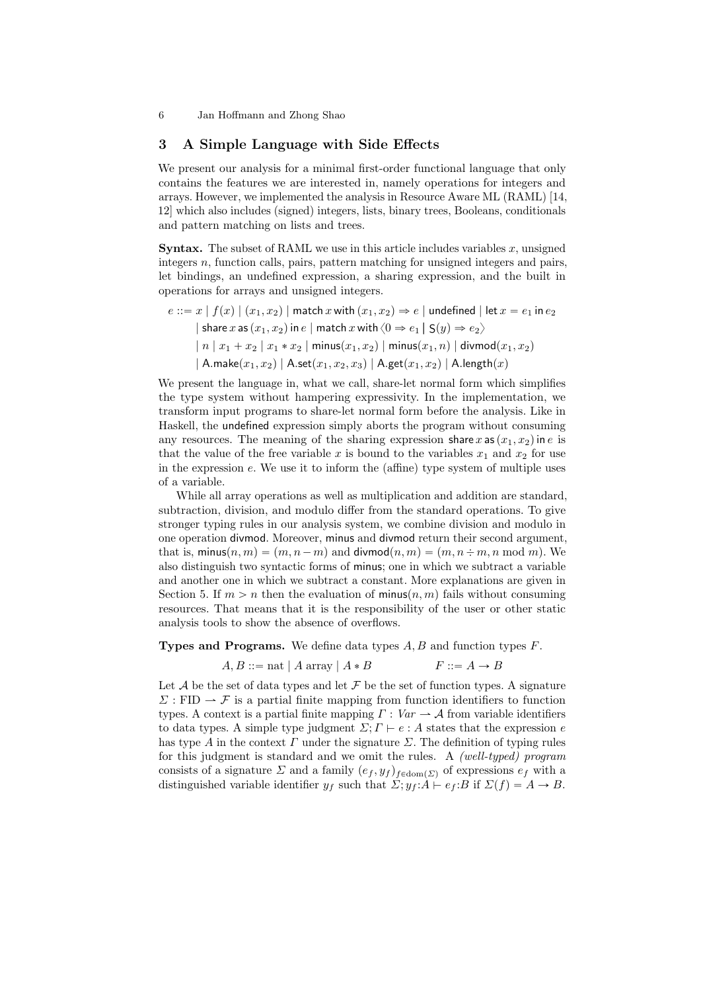## 3 A Simple Language with Side Effects

We present our analysis for a minimal first-order functional language that only contains the features we are interested in, namely operations for integers and arrays. However, we implemented the analysis in Resource Aware ML (RAML) [14, 12] which also includes (signed) integers, lists, binary trees, Booleans, conditionals and pattern matching on lists and trees.

**Syntax.** The subset of RAML we use in this article includes variables x, unsigned integers n, function calls, pairs, pattern matching for unsigned integers and pairs, let bindings, an undefined expression, a sharing expression, and the built in operations for arrays and unsigned integers.

$$
e ::= x \mid f(x) \mid (x_1, x_2) \mid \text{match } x \text{ with } (x_1, x_2) \Rightarrow e \mid \text{undefined} \mid \text{let } x = e_1 \text{ in } e_2
$$
\n
$$
\mid \text{share } x \text{ as } (x_1, x_2) \text{ in } e \mid \text{match } x \text{ with } \langle 0 \Rightarrow e_1 \mid S(y) \Rightarrow e_2 \rangle
$$
\n
$$
\mid n \mid x_1 + x_2 \mid x_1 * x_2 \mid \text{minus}(x_1, x_2) \mid \text{minus}(x_1, n) \mid \text{divmod}(x_1, x_2)
$$
\n
$$
\mid \text{A.make}(x_1, x_2) \mid \text{A.set}(x_1, x_2, x_3) \mid \text{A.get}(x_1, x_2) \mid \text{A.length}(x)
$$

We present the language in, what we call, share-let normal form which simplifies the type system without hampering expressivity. In the implementation, we transform input programs to share-let normal form before the analysis. Like in Haskell, the undefined expression simply aborts the program without consuming any resources. The meaning of the sharing expression share x as  $(x_1, x_2)$  in e is that the value of the free variable x is bound to the variables  $x_1$  and  $x_2$  for use in the expression  $e$ . We use it to inform the (affine) type system of multiple uses of a variable.

While all array operations as well as multiplication and addition are standard, subtraction, division, and modulo differ from the standard operations. To give stronger typing rules in our analysis system, we combine division and modulo in one operation divmod. Moreover, minus and divmod return their second argument, that is, minus $(n, m) = (m, n - m)$  and divmod $(n, m) = (m, n \div m, n \mod m)$ . We also distinguish two syntactic forms of minus; one in which we subtract a variable and another one in which we subtract a constant. More explanations are given in Section 5. If  $m > n$  then the evaluation of minus $(n, m)$  fails without consuming resources. That means that it is the responsibility of the user or other static analysis tools to show the absence of overflows.

**Types and Programs.** We define data types  $A, B$  and function types  $F$ .

$$
A, B ::= nat | A array | A * B
$$
  

$$
F ::= A \rightarrow B
$$

Let  $A$  be the set of data types and let  $\mathcal F$  be the set of function types. A signature  $\Sigma$ : FID  $\rightarrow$  F is a partial finite mapping from function identifiers to function types. A context is a partial finite mapping  $\Gamma : Var \to \mathcal{A}$  from variable identifiers to data types. A simple type judgment  $\Sigma; \Gamma \vdash e : A$  states that the expression e has type A in the context  $\Gamma$  under the signature  $\Sigma$ . The definition of typing rules for this judgment is standard and we omit the rules. A (well-typed) program consists of a signature  $\Sigma$  and a family  $(e_f, y_f)_{f \in \text{dom}(\Sigma)}$  of expressions  $e_f$  with a distinguished variable identifier  $y_f$  such that  $\Sigma$ ;  $y_f$ : $A \vdash e_f$ : $B$  if  $\Sigma(f) = A \rightarrow B$ .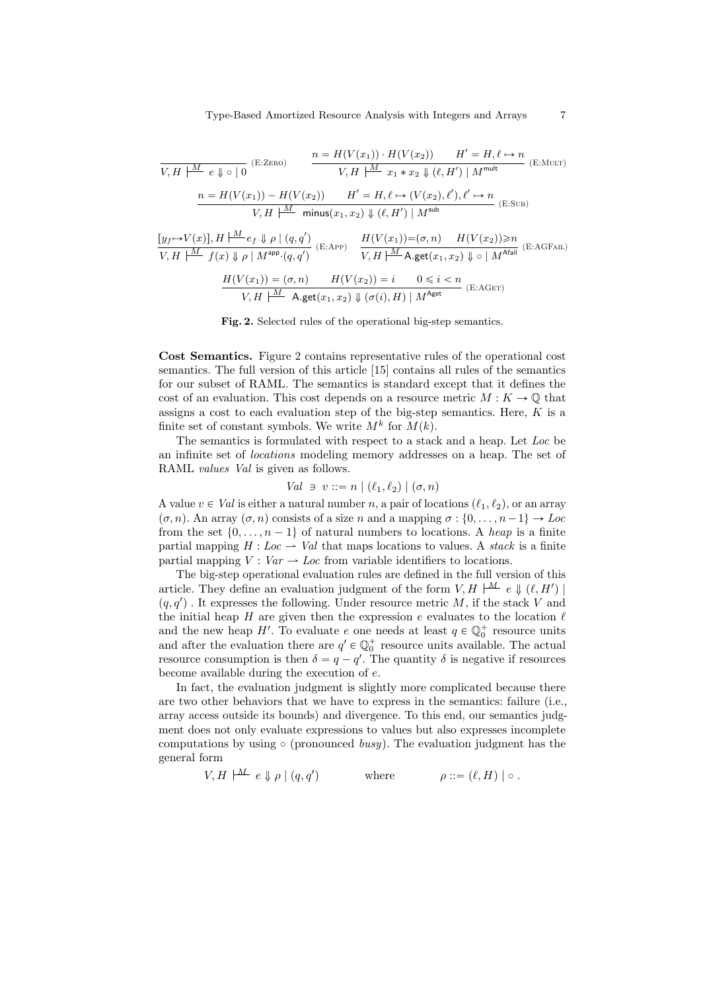Type-Based Amortized Resource Analysis with Integers and Arrays 7

$$
\frac{n = H(V(x_1)) \cdot H(V(x_2)) \quad H' = H, \ell \to n}{V, H \mid \frac{M}{\ell} x_1 * x_2 \Downarrow (\ell, H') \mid M^{\text{mult}}} \quad \text{(E:MULT)}
$$
\n
$$
\frac{n = H(V(x_1)) - H(V(x_2)) \quad H' = H, \ell \to (V(x_2), \ell'), \ell' \to n}{V, H \mid \frac{M}{\ell} \min(s_{(1)}, x_2) \Downarrow (\ell, H') \mid M^{\text{sub}}} \quad \text{(E:SUB)}
$$
\n
$$
\frac{[y_f \to V(x)], H \mid \frac{M}{\ell} e_f \Downarrow \rho \mid (q, q')}{V, H \mid \frac{M}{\ell} A \text{.get}(x_1, x_2) \Downarrow (h, H') \mid M^{\text{sub}}} \quad \text{(E:Alg)}
$$
\n
$$
\frac{H(V(x_1)) = (\sigma, n) \quad H(V(x_2)) \ge n}{V, H \mid \frac{M}{\ell} A \text{.get}(x_1, x_2) \Downarrow \circ \mid M^{\text{Atail}}} \quad \text{(E:AGFAL)}
$$
\n
$$
\frac{H(V(x_1)) = (\sigma, n) \quad H(V(x_2)) = i \quad 0 \le i < n}{V, H \mid \frac{M}{\ell} A \text{.get}(x_1, x_2) \Downarrow (\sigma(i), H) \mid M^{\text{Aget}}} \quad \text{(E:AGET)}
$$

Fig. 2. Selected rules of the operational big-step semantics.

Cost Semantics. Figure 2 contains representative rules of the operational cost semantics. The full version of this article [15] contains all rules of the semantics for our subset of RAML. The semantics is standard except that it defines the cost of an evaluation. This cost depends on a resource metric  $M: K \to \mathbb{Q}$  that assigns a cost to each evaluation step of the big-step semantics. Here,  $K$  is a finite set of constant symbols. We write  $M^k$  for  $M(k)$ .

The semantics is formulated with respect to a stack and a heap. Let Loc be an infinite set of locations modeling memory addresses on a heap. The set of RAML *values Val* is given as follows.

$$
Val \ni v ::= n \mid (\ell_1, \ell_2) \mid (\sigma, n)
$$

A value  $v \in Val$  is either a natural number n, a pair of locations  $(\ell_1, \ell_2)$ , or an array  $(\sigma, n)$ . An array  $(\sigma, n)$  consists of a size n and a mapping  $\sigma : \{0, \ldots, n-1\} \to Loc$ from the set  $\{0, \ldots, n-1\}$  of natural numbers to locations. A heap is a finite partial mapping  $H: Loc \rightharpoonup Val$  that maps locations to values. A stack is a finite partial mapping  $V : Var \rightharpoonup Loc$  from variable identifiers to locations.

The big-step operational evaluation rules are defined in the full version of this article. They define an evaluation judgment of the form  $V, H \downharpoonright^{\mathcal{M}} e \Downarrow (\ell, H')$  $(q, q')$ . It expresses the following. Under resource metric M, if the stack V and the initial heap H are given then the expression  $e$  evaluates to the location  $\ell$ and the new heap  $H'$ . To evaluate  $e$  one needs at least  $q \in \mathbb{Q}^+_0$  resource units and after the evaluation there are  $q' \in \mathbb{Q}_0^+$  resource units available. The actual resource consumption is then  $\delta = q - q'$ . The quantity  $\delta$  is negative if resources become available during the execution of e.

In fact, the evaluation judgment is slightly more complicated because there are two other behaviors that we have to express in the semantics: failure (i.e., array access outside its bounds) and divergence. To this end, our semantics judgment does not only evaluate expressions to values but also expresses incomplete computations by using  $\circ$  (pronounced busy). The evaluation judgment has the general form

$$
V, H \upharpoonright^{\mathcal{M}} e \Downarrow \rho \mid (q, q') \qquad \text{where} \qquad \rho ::= (\ell, H) \mid \circ .
$$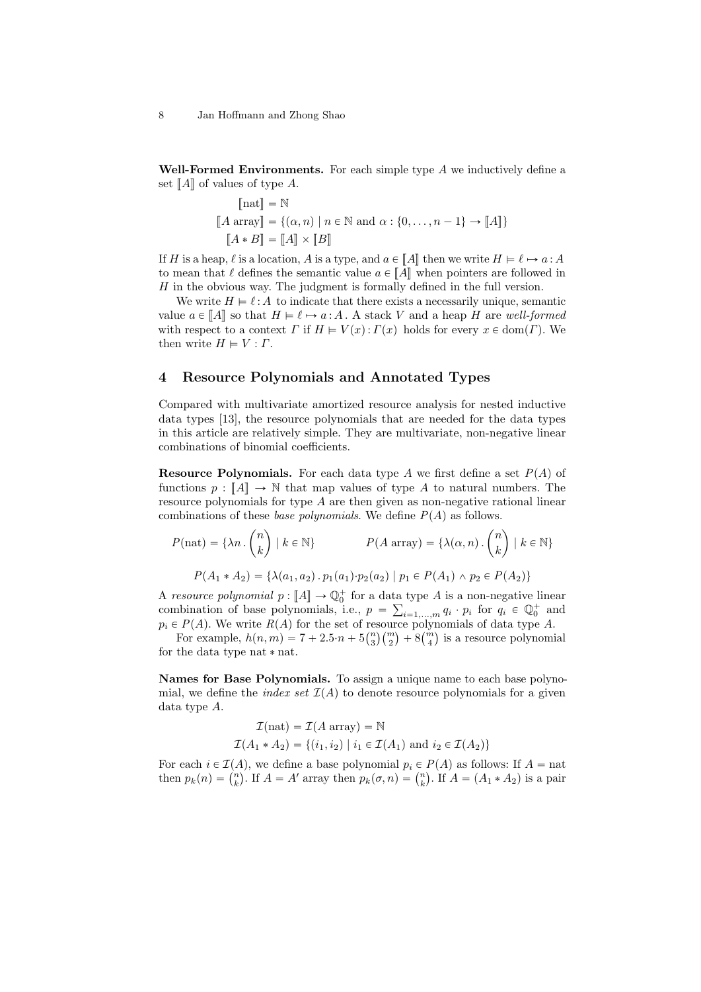Well-Formed Environments. For each simple type  $A$  we inductively define a set  $\llbracket A \rrbracket$  of values of type A.

$$
\begin{aligned}\n[\text{nat}] &= \mathbb{N} \\
[A \text{ array}] &= \{(\alpha, n) \mid n \in \mathbb{N} \text{ and } \alpha : \{0, \dots, n-1\} \to [A]\} \\
[A * B] &= [A] \times [B]\n\end{aligned}
$$

If H is a heap,  $\ell$  is a location, A is a type, and  $a \in \llbracket A \rrbracket$  then we write  $H \models \ell \mapsto a : A$ to mean that  $\ell$  defines the semantic value  $a \in \llbracket A \rrbracket$  when pointers are followed in H in the obvious way. The judgment is formally defined in the full version.

We write  $H \models \ell : A$  to indicate that there exists a necessarily unique, semantic value  $a \in [A]$  so that  $H \models \ell \mapsto a : A$ . A stack V and a heap H are well-formed with respect to a context  $\Gamma$  if  $H \models V(x) : \Gamma(x)$  holds for every  $x \in \text{dom}(\Gamma)$ . We then write  $H \models V : \Gamma$ .

## 4 Resource Polynomials and Annotated Types

Compared with multivariate amortized resource analysis for nested inductive data types [13], the resource polynomials that are needed for the data types in this article are relatively simple. They are multivariate, non-negative linear combinations of binomial coefficients.

**Resource Polynomials.** For each data type  $A$  we first define a set  $P(A)$  of functions  $p : \llbracket A \rrbracket \to \mathbb{N}$  that map values of type A to natural numbers. The resource polynomials for type A are then given as non-negative rational linear combinations of these *base polynomials*. We define  $P(A)$  as follows.

$$
P(\text{nat}) = \{\lambda n \cdot \binom{n}{k} \mid k \in \mathbb{N}\}
$$

$$
P(A \text{ array}) = \{\lambda(\alpha, n) \cdot \binom{n}{k} \mid k \in \mathbb{N}\}
$$

$$
P(A_1 * A_2) = \{\lambda(a_1, a_2) \cdot p_1(a_1) \cdot p_2(a_2) \mid p_1 \in P(A_1) \land p_2 \in P(A_2)\}
$$

A resource polynomial  $p : [\![A]\!] \to \mathbb{Q}_0^+$  for a data type A is a non-negative linear<br>combination of base polynomials i.e.  $n = \sum_{n=0}^{\infty} a_n$ , for  $a_n \in \mathbb{Q}^+$  and combination of base polynomials, i.e.,  $p = \sum_{i=1,\dots,m} q_i \cdot p_i$  for  $q_i \in \mathbb{Q}_0^+$  and  $p_i \in P(A)$ . We write  $R(A)$  for the set of resource polynomials of data type A.<br>Eventually  $h(n, m) = 7 + 2.5 n + 5{n \choose 1} {m \choose m}$  is a resource polynomial

For example,  $h(n,m) = 7 + 2.5 \cdot n + 5 {n \choose 3} {m \choose 2} + 8 {m \choose 4}$  is a resource polynomial for the data type nat  $*$  nat.

Names for Base Polynomials. To assign a unique name to each base polynomial, we define the *index set*  $\mathcal{I}(A)$  to denote resource polynomials for a given data type A.

$$
\mathcal{I}(\text{nat}) = \mathcal{I}(A \text{ array}) = \mathbb{N}
$$
  

$$
\mathcal{I}(A_1 * A_2) = \{ (i_1, i_2) \mid i_1 \in \mathcal{I}(A_1) \text{ and } i_2 \in \mathcal{I}(A_2) \}
$$

For each  $i \in \mathcal{I}(A)$ , we define a base polynomial  $p_i \in P(A)$  as follows: If  $A = \text{nat}$ For each  $i \in \mathcal{I}(A)$ , we define a base polynomial  $p_i \in P(A)$  as follows: If  $A = \text{nat}$ <br>then  $p_k(n) = \binom{n}{k}$ . If  $A = A'$  array then  $p_k(\sigma, n) = \binom{n}{k}$ . If  $A = (A_1 * A_2)$  is a pair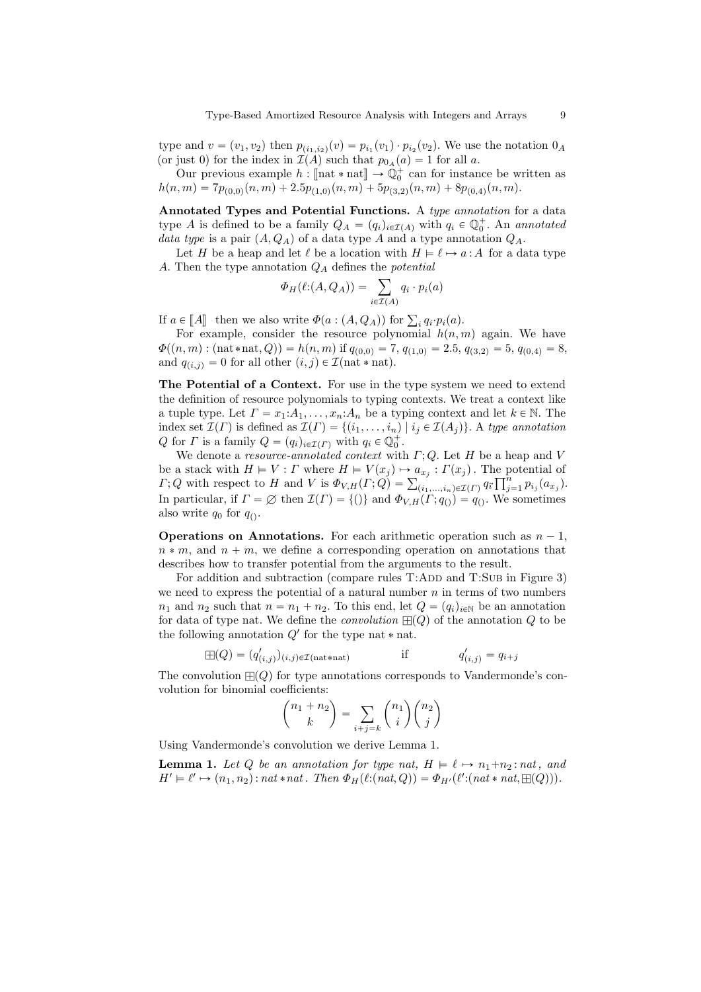type and  $v = (v_1, v_2)$  then  $p_{(i_1, i_2)}(v) = p_{i_1}(v_1) \cdot p_{i_2}(v_2)$ . We use the notation  $0_A$ (or just 0) for the index in  $\mathcal{I}(A)$  such that  $p_{0_A}(a) = 1$  for all a.

Our previous example  $h : [\text{nat} * \text{nat}] \rightarrow \mathbb{Q}_0^+$  can for instance be written as  $h(n, m) = 7p_{(0,0)}(n, m) + 2.5p_{(1,0)}(n, m) + 5p_{(3,2)}(n, m) + 8p_{(0,4)}(n, m).$ 

Annotated Types and Potential Functions. A type annotation for a data type A is defined to be a family  $Q_A = (q_i)_{i \in \mathcal{I}(A)}$  with  $q_i \in \mathbb{Q}_0^+$ . An annotated data type is a pair  $(A, Q_A)$  of a data type A and a type annotation  $Q_A$ .

Let H be a heap and let  $\ell$  be a location with  $H \models \ell \mapsto a : A$  for a data type A. Then the type annotation  $Q_A$  defines the potential<br>  $\Phi_H(\ell:(A, Q_A)) = \sum_i q_i \cdot p_i(q_i)$ 

$$
\Phi_H(\ell:(A,Q_A)) = \sum_{i \in \mathcal{I}(A)} q_i \cdot p_i(a)
$$

If  $a \in [\![A]\!]$  then we also write  $\Phi(a : (A, Q_A))$  for  $\sum_i q_i \cdot p_i(a)$ .<br>For example, consider the resource polynomial  $b(a, a)$ 

For example, consider the resource polynomial  $h(n, m)$  again. We have  $\Phi((n, m) : (\text{nat} * \text{nat}, Q)) = h(n, m)$  if  $q_{(0,0)} = 7$ ,  $q_{(1,0)} = 2.5$ ,  $q_{(3,2)} = 5$ ,  $q_{(0,4)} = 8$ , and  $q_{(i,j)} = 0$  for all other  $(i, j) \in \mathcal{I}$  (nat  $*$  nat).

The Potential of a Context. For use in the type system we need to extend the definition of resource polynomials to typing contexts. We treat a context like a tuple type. Let  $\Gamma = x_1:A_1,\ldots,x_n:A_n$  be a typing context and let  $k \in \mathbb{N}$ . The index set  $\mathcal{I}(\Gamma)$  is defined as  $\mathcal{I}(\Gamma) = \{ (i_1, \ldots, i_n) | i_j \in \mathcal{I}(A_j) \}$ . A type annotation Q for  $\Gamma$  is a family  $Q = (q_i)_{i \in \mathcal{I}(\Gamma)}$  with  $q_i \in \mathbb{Q}_0^+$ .

We denote a resource-annotated context with  $\Gamma$ ; Q. Let H be a heap and V be a stack with  $H \models V : \Gamma$  where  $H \models V(x_j) \mapsto a_{x_j} : \Gamma(x_j)$ . The potential of be a stack with  $H \models V : I'$  where  $H \models V(x_j) \mapsto a_{x_j} : I'(x_j)$ . The potential of  $\Gamma; Q$  with respect to  $H$  and  $V$  is  $\Phi_{V,H}(\Gamma; Q) = \sum_{(i_1,...,i_n) \in \mathcal{I}(\Gamma)} q_{\vec{i}} \prod_{j=1}^n p_{i_j}(a_{x_j})$ . In particular, if  $\Gamma = \emptyset$  then  $\mathcal{I}(\Gamma) = \{()\}$  and  $\Phi_{V,H}(\Gamma; q_0) = q_0$ . We sometimes also write  $q_0$  for  $q_0$ .

**Operations on Annotations.** For each arithmetic operation such as  $n - 1$ ,  $n * m$ , and  $n + m$ , we define a corresponding operation on annotations that describes how to transfer potential from the arguments to the result.

For addition and subtraction (compare rules  $T:ADD$  and  $T:SUB$  in Figure 3) we need to express the potential of a natural number  $n$  in terms of two numbers  $n_1$  and  $n_2$  such that  $n = n_1 + n_2$ . To this end, let  $Q = (q_i)_{i \in \mathbb{N}}$  be an annotation for data of type nat. We define the *convolution*  $\boxplus (Q)$  of the annotation Q to be the following annotation  $Q'$  for the type nat  $*$  nat.

$$
\boxplus (Q) = (q'_{(i,j)})_{(i,j)\in \mathcal{I}(\text{nat}*\text{nat})} \qquad \qquad \text{if} \qquad \qquad q'_{(i,j)} = q_{i+j}
$$

The convolution  $\boxplus$ ( $Q$ ) for type annotations corresponds to Vandermonde's convolution for binomial coefficients:

$$
\binom{n_1 + n_2}{k} = \sum_{i+j=k} \binom{n_1}{i} \binom{n_2}{j}
$$

Using Vandermonde's convolution we derive Lemma 1.

**Lemma 1.** Let Q be an annotation for type nat,  $H \models \ell \mapsto n_1+n_2$ : nat, and  $H' \models \ell' \mapsto (n_1, n_2)$ : nat \* nat. Then  $\Phi_H(\ell:(nat, Q)) = \Phi_{H'}(\ell': (nat * nat, \boxplus (Q))).$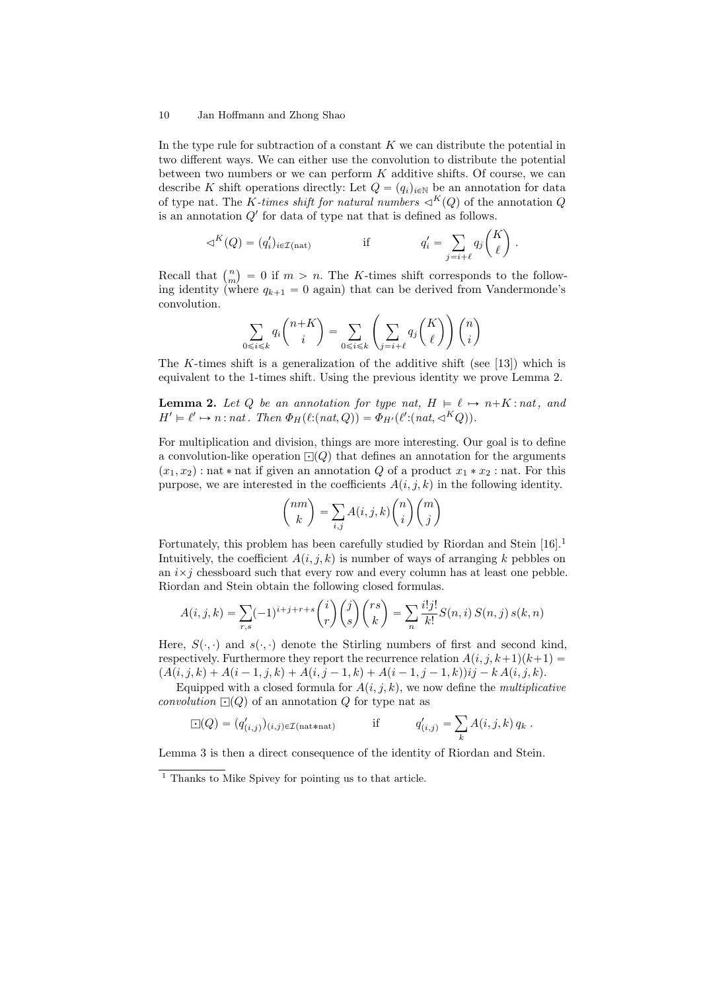In the type rule for subtraction of a constant  $K$  we can distribute the potential in two different ways. We can either use the convolution to distribute the potential between two numbers or we can perform  $K$  additive shifts. Of course, we can describe K shift operations directly: Let  $Q = (q_i)_{i \in \mathbb{N}}$  be an annotation for data of type nat. The K-times shift for natural numbers  $\triangleleft^{K}(Q)$  of the annotation Q is an annotation  $Q'$  for data of type nat that is defined as follows.

$$
\lhd^K(Q) = (q_i')_{i \in \mathcal{I}(\text{nat})} \qquad \qquad \text{if} \qquad \qquad q_i' = \sum_{j=i+\ell} q_j \binom{K}{\ell} \, .
$$

Recall that  $\binom{n}{m}$  $= 0$  if  $m > n$ . The K-times shift corresponds to the following identity (where  $q_{k+1} = 0$  again) that can be derived from Vandermonde's convolution.  $\sim$   $\sqrt{ }$ 

$$
\sum_{0 \le i \le k} q_i \binom{n+K}{i} = \sum_{0 \le i \le k} \left( \sum_{j=i+\ell} q_j \binom{K}{\ell} \right) \binom{n}{i}
$$

The K-times shift is a generalization of the additive shift (see [13]) which is equivalent to the 1-times shift. Using the previous identity we prove Lemma 2.

**Lemma 2.** Let Q be an annotation for type nat,  $H \models \ell \mapsto n+K$ : nat, and  $H' \models \ell' \mapsto n : nat.$  Then  $\Phi_H(\ell:(nat, Q)) = \Phi_{H'}(\ell': (nat, \triangleleft^K Q)).$ 

For multiplication and division, things are more interesting. Our goal is to define a convolution-like operation  $\Box(Q)$  that defines an annotation for the arguments  $p(x_1, x_2)$ : nat \* nat if given an annotation Q of a product  $x_1 * x_2$ : nat. For this purpose, we are interested in the coefficients  $A(i, j, k)$  in the following identity.<br>  $\binom{nm}{\sum_{i} j_i (n)} \binom{m}{m}$ 

$$
\binom{nm}{k} = \sum_{i,j} A(i,j,k) \binom{n}{i} \binom{m}{j}
$$

Fortunately, this problem has been carefully studied by Riordan and Stein [16].<sup>1</sup> Intuitively, the coefficient  $A(i, j, k)$  is number of ways of arranging k pebbles on an  $i \times j$  chessboard such that every row and every column has at least one pebble.

Riordan and Stein obtain the following closed formulas.  
\n
$$
A(i, j, k) = \sum_{r,s} (-1)^{i+j+r+s} {i \choose r} {j \choose s} {rs \choose k} = \sum_{n} \frac{i!j!}{k!} S(n, i) S(n, j) s(k, n)
$$

Here,  $S(\cdot, \cdot)$  and  $s(\cdot, \cdot)$  denote the Stirling numbers of first and second kind, respectively. Furthermore they report the recurrence relation  $A(i, j, k+1)(k+1) =$  $(A(i, j, k) + A(i - 1, j, k) + A(i, j - 1, k) + A(i - 1, j - 1, k))$ ij  $- k A(i, j, k)$ .

Equipped with a closed formula for  $A(i, j, k)$ , we now define the *multiplicative* convolution  $\Box(Q)$  of an annotation Q for type nat as ÿ

$$
\Box(Q) = (q'_{(i,j)})_{(i,j)\in\mathcal{I}(\text{nat}*\text{nat})}
$$
 if 
$$
q'_{(i,j)} = \sum_{k} A(i,j,k) q_k.
$$

Lemma 3 is then a direct consequence of the identity of Riordan and Stein.

<sup>1</sup> Thanks to Mike Spivey for pointing us to that article.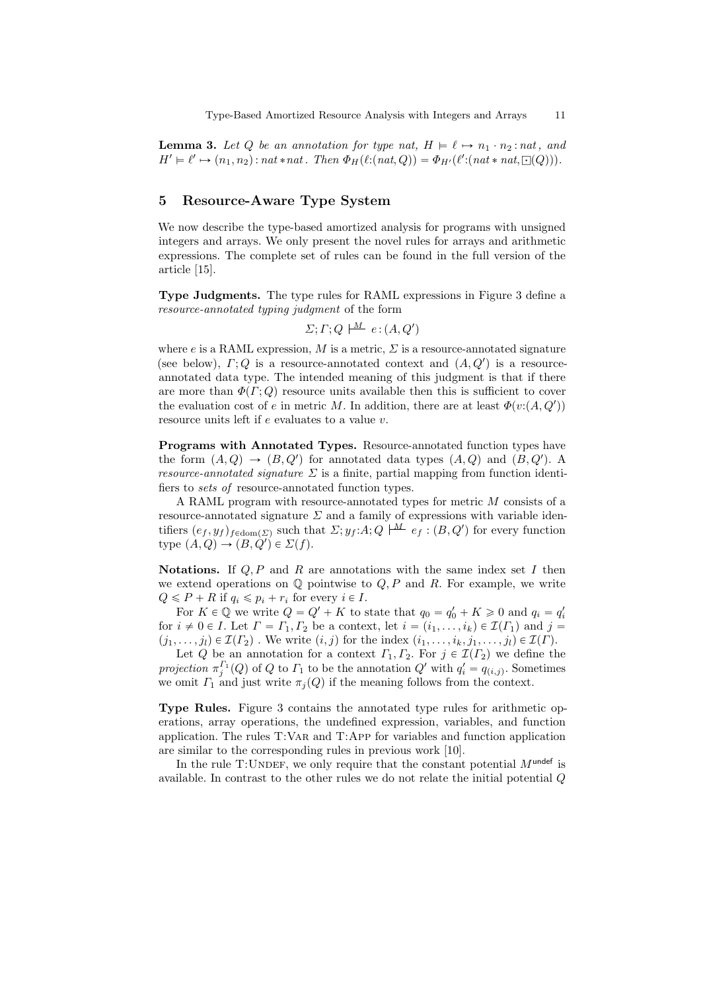**Lemma 3.** Let Q be an annotation for type nat,  $H \models \ell \mapsto n_1 \cdot n_2$ : nat, and  $H' \models \ell' \mapsto (n_1, n_2)$ : nat\*nat. Then  $\Phi_H(\ell:(nat, Q)) = \Phi_{H'}(\ell': (nat*nat, \Box(Q))).$ 

## 5 Resource-Aware Type System

We now describe the type-based amortized analysis for programs with unsigned integers and arrays. We only present the novel rules for arrays and arithmetic expressions. The complete set of rules can be found in the full version of the article [15].

Type Judgments. The type rules for RAML expressions in Figure 3 define a resource-annotated typing judgment of the form

$$
\Sigma; \Gamma; Q \not\mid^{\mathcal{M}} e: (A, Q')
$$

where e is a RAML expression,  $M$  is a metric,  $\Sigma$  is a resource-annotated signature (see below),  $\Gamma$ ; Q is a resource-annotated context and  $(A, Q')$  is a resourceannotated data type. The intended meaning of this judgment is that if there are more than  $\Phi(\Gamma; Q)$  resource units available then this is sufficient to cover the evaluation cost of e in metric M. In addition, there are at least  $\Phi(v:(A, Q'))$ resource units left if  $e$  evaluates to a value  $v$ .

Programs with Annotated Types. Resource-annotated function types have the form  $(A, Q) \rightarrow (B, Q')$  for annotated data types  $(A, Q)$  and  $(B, Q')$ . A resource-annotated signature  $\Sigma$  is a finite, partial mapping from function identifiers to sets of resource-annotated function types.

A RAML program with resource-annotated types for metric M consists of a resource-annotated signature  $\Sigma$  and a family of expressions with variable identifiers  $(e_f, y_f)_{f \in \text{dom}(\Sigma)}$  such that  $\Sigma; y_f : A; Q \mid^{\underline{M}} e_f : (B, Q')$  for every function type  $(A, Q) \rightarrow (B, Q') \in \Sigma(f)$ .

Notations. If  $Q, P$  and R are annotations with the same index set I then we extend operations on  $\mathbb Q$  pointwise to  $Q, P$  and R. For example, we write  $Q \leq P + R$  if  $q_i \leq p_i + r_i$  for every  $i \in I$ .

For  $K \in \mathbb{Q}$  we write  $Q = Q' + K$  to state that  $q_0 = q'_0 + K \geq 0$  and  $q_i = q'_i$ for  $i \neq 0 \in I$ . Let  $\Gamma = \Gamma_1, \Gamma_2$  be a context, let  $i = (i_1, \ldots, i_k) \in \mathcal{I}(\Gamma_1)$  and  $j =$  $(j_1, \ldots, j_l) \in \mathcal{I}(\Gamma_2)$ . We write  $(i, j)$  for the index  $(i_1, \ldots, i_k, j_1, \ldots, j_l) \in \mathcal{I}(\Gamma)$ .

Let Q be an annotation for a context  $\Gamma_1, \Gamma_2$ . For  $j \in \mathcal{I}(\Gamma_2)$  we define the projection  $\pi_j^{\Gamma_1}(Q)$  of Q to  $\Gamma_1$  to be the annotation  $Q'$  with  $q_i' = q_{(i,j)}$ . Sometimes we omit  $\Gamma_1$  and just write  $\pi_j(Q)$  if the meaning follows from the context.

Type Rules. Figure 3 contains the annotated type rules for arithmetic operations, array operations, the undefined expression, variables, and function application. The rules T:Var and T:App for variables and function application are similar to the corresponding rules in previous work [10].

In the rule T:UNDEF, we only require that the constant potential  $M^{\text{undef}}$  is available. In contrast to the other rules we do not relate the initial potential Q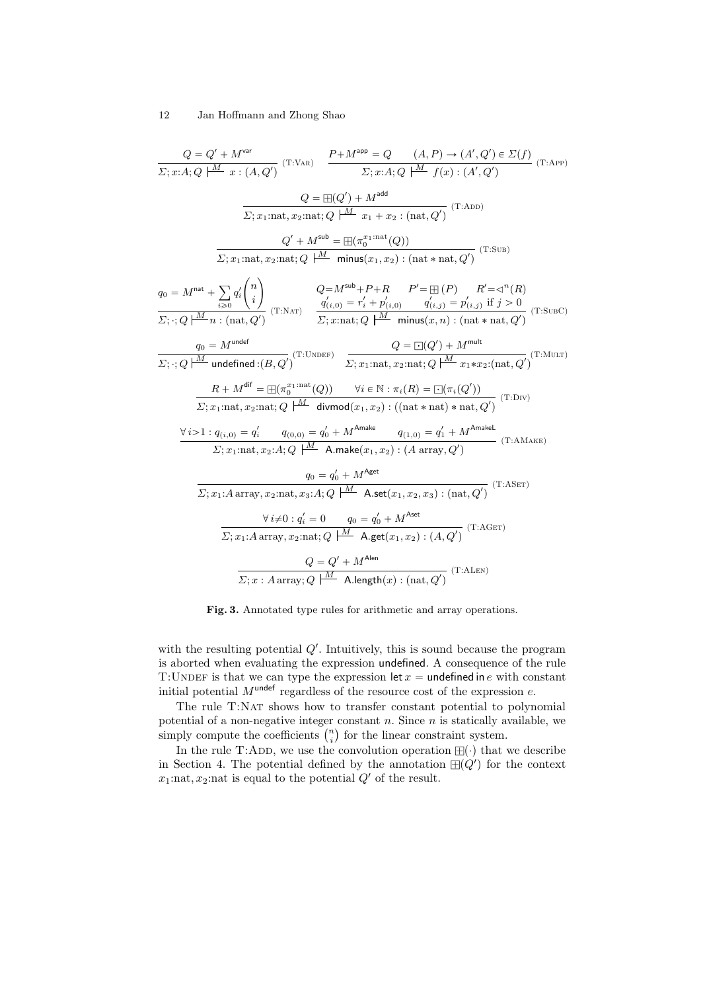$$
Q = Q' + M^{\text{var}} \n\sum_{\substack{i, x : A; Q}} \frac{P + M^{\text{app}} = Q \qquad (A, P) \rightarrow (A', Q') \in \Sigma(f)}{\sum_{i, x : A; Q} \frac{M}{|M|} f(x) : (A', Q')}
$$
\n
$$
Q = \boxplus (Q') + M^{\text{add}}
$$
\n
$$
\overline{\sum_{i, x : \text{inat, } x_{2} : \text{inat, } Q}} \frac{Q + M^{\text{add}}}{M \cdot n + x_{2} : (\text{nat, } Q')}
$$
\n
$$
\overline{\sum_{i, x : \text{inat, } x_{2} : \text{inat, } Q}} \frac{Q + M^{\text{add}}}{M \cdot n + x_{2} : (\text{nat, } Q')}
$$
\n
$$
\overline{\sum_{i, x : \text{inat, } x_{2} : \text{inat, } Q}} \frac{Q + M^{\text{sub}} = \boxplus(\pi_{0}^{x : \text{inat}}(Q))}{M \cdot n + x_{2} : (\text{nat} \cdot n \cdot Q')}
$$
\n
$$
\overline{\sum_{i, x : \text{inat, } x_{2} : \text{inat, } Q}} \frac{Q = M^{\text{sub}} + P + R \qquad P' = \boxplus (P) \qquad R' = \text{dim}^n(R)}{\sum_{i, x : Q} \frac{M}{|M|} n : (\text{nat, } Q)} \frac{q'_{i, 0}}{\sum_{i, x : \text{inat; } Q} \frac{P'}{M} \text{ minus}(x, n) : (\text{nat} \cdot n \cdot n \cdot Q')} \frac{q_{i, j} : \text{if } j > 0}{\sum_{i, x : \text{inat, } Q} \frac{M}{M} \text{ minus}(x, n) : (\text{nat} \cdot n \cdot n \cdot Q')} \frac{q_{i, j}}{\sum_{i, x : \text{inat, } x_{2} : \text{inat, } Q} \frac{Q'}{M} \text{ minus}(x, n) : (\text{nat} \cdot n \cdot n \cdot Q')} \frac{q_{i, x : \text{inat, } Q}}{\sum_{i, x : \text{inat, } x_{2} : \text{inat, } Q} \frac{M}{M} \text{sin}(\frac{Q')}{M}} \frac{q_{i, x : \text{inat, } x_{2} : \text{
$$

Fig. 3. Annotated type rules for arithmetic and array operations.

with the resulting potential  $Q'$ . Intuitively, this is sound because the program is aborted when evaluating the expression undefined. A consequence of the rule T:UNDEF is that we can type the expression let  $x =$  undefined in e with constant initial potential  $M^{\text{undef}}$  regardless of the resource cost of the expression  $e$ .

The rule T:NAT shows how to transfer constant potential to polynomial potential of a non-negative integer constant  $n$ . Since  $n$  is statically available, we potential of a non-negative integer constant *n*. Since *n* is statically a simply compute the coefficients  $\binom{n}{i}$  for the linear constraint system.

In the rule T:ADD, we use the convolution operation  $\mathbb{H}(\cdot)$  that we describe in Section 4. The potential defined by the annotation  $\boxplus (Q')$  for the context  $x_1$ :nat,  $x_2$ :nat is equal to the potential  $Q'$  of the result.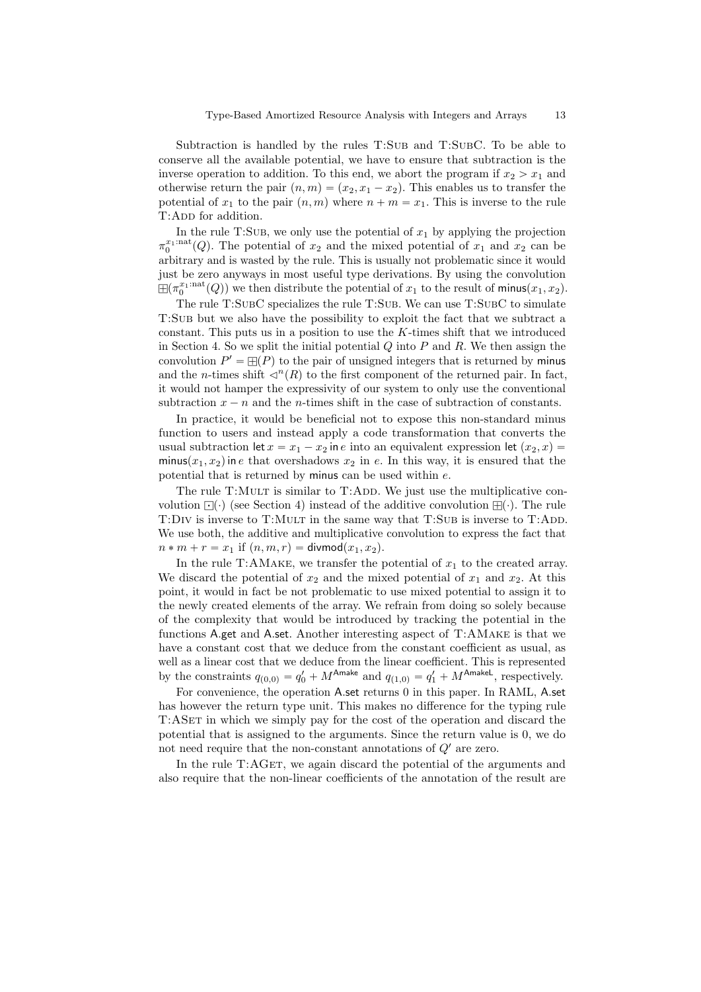Subtraction is handled by the rules  $T:SUB$  and  $T:SUBC$ . To be able to conserve all the available potential, we have to ensure that subtraction is the inverse operation to addition. To this end, we abort the program if  $x_2 > x_1$  and otherwise return the pair  $(n, m) = (x_2, x_1 - x_2)$ . This enables us to transfer the potential of  $x_1$  to the pair  $(n, m)$  where  $n + m = x_1$ . This is inverse to the rule T:ADD for addition.

In the rule T:Sub, we only use the potential of  $x_1$  by applying the projection  $\pi_0^{x_1:\text{nat}}(Q)$ . The potential of  $x_2$  and the mixed potential of  $x_1$  and  $x_2$  can be arbitrary and is wasted by the rule. This is usually not problematic since it would just be zero anyways in most useful type derivations. By using the convolution  $\mathbb{H}(\pi_0^{x_1:\text{nat}}(Q))$  we then distribute the potential of  $x_1$  to the result of minus $(x_1, x_2)$ .

The rule T:SUBC specializes the rule T:SUB. We can use T:SUBC to simulate T:Sub but we also have the possibility to exploit the fact that we subtract a constant. This puts us in a position to use the K-times shift that we introduced in Section 4. So we split the initial potential  $Q$  into  $P$  and  $R$ . We then assign the convolution  $P' = \mathbb{H}(P)$  to the pair of unsigned integers that is returned by minus and the *n*-times shift  $\langle n \rangle$  to the first component of the returned pair. In fact, it would not hamper the expressivity of our system to only use the conventional subtraction  $x - n$  and the *n*-times shift in the case of subtraction of constants.

In practice, it would be beneficial not to expose this non-standard minus function to users and instead apply a code transformation that converts the usual subtraction let  $x = x_1 - x_2$  in e into an equivalent expression let  $(x_2, x) =$ minus $(x_1, x_2)$  in e that overshadows  $x_2$  in e. In this way, it is ensured that the potential that is returned by minus can be used within e.

The rule  $T: MULT$  is similar to  $T: ADD.$  We just use the multiplicative convolution  $\Box(\cdot)$  (see Section 4) instead of the additive convolution  $\Box(\cdot)$ . The rule T:Div is inverse to T:Mult in the same way that T:Sub is inverse to T:ADD. We use both, the additive and multiplicative convolution to express the fact that  $n * m + r = x_1$  if  $(n, m, r) = \text{divmod}(x_1, x_2)$ .

In the rule T:AMAKE, we transfer the potential of  $x_1$  to the created array. We discard the potential of  $x_2$  and the mixed potential of  $x_1$  and  $x_2$ . At this point, it would in fact be not problematic to use mixed potential to assign it to the newly created elements of the array. We refrain from doing so solely because of the complexity that would be introduced by tracking the potential in the functions A.get and A.set. Another interesting aspect of T:AMake is that we have a constant cost that we deduce from the constant coefficient as usual, as well as a linear cost that we deduce from the linear coefficient. This is represented by the constraints  $q_{(0,0)} = q'_0 + M^{\text{Amake}}$  and  $q_{(1,0)} = q'_1 + M^{\text{AmakeL}}$ , respectively.

For convenience, the operation A.set returns 0 in this paper. In RAML, A.set has however the return type unit. This makes no difference for the typing rule T:ASET in which we simply pay for the cost of the operation and discard the potential that is assigned to the arguments. Since the return value is 0, we do not need require that the non-constant annotations of  $Q'$  are zero.

In the rule T:AGET, we again discard the potential of the arguments and also require that the non-linear coefficients of the annotation of the result are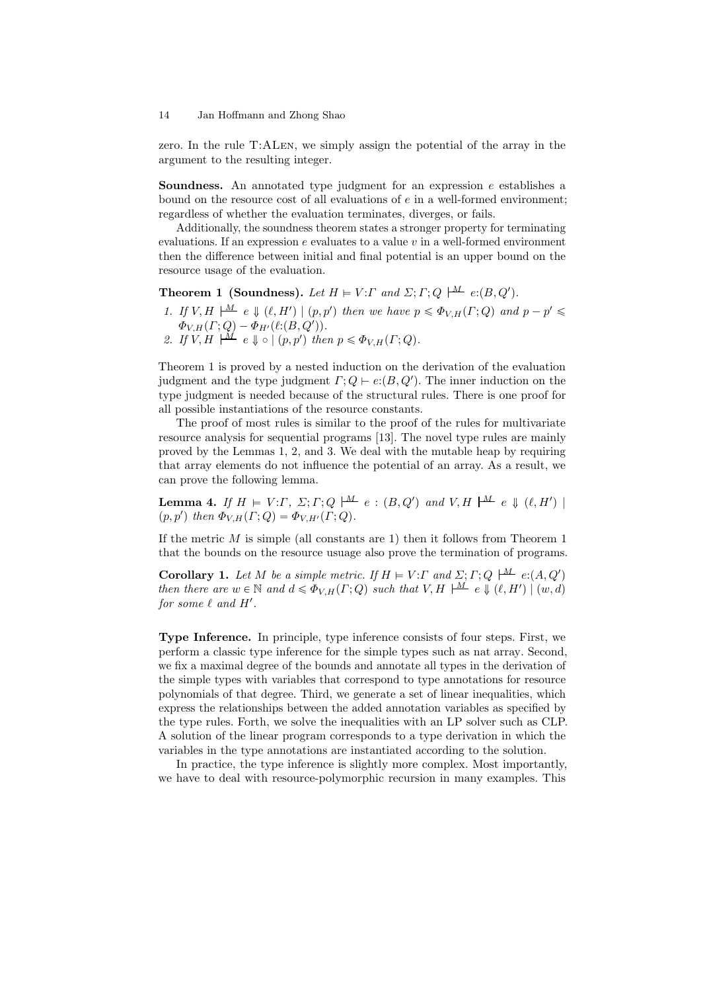zero. In the rule T:ALen, we simply assign the potential of the array in the argument to the resulting integer.

**Soundness.** An annotated type judgment for an expression  $e$  establishes a bound on the resource cost of all evaluations of  $e$  in a well-formed environment; regardless of whether the evaluation terminates, diverges, or fails.

Additionally, the soundness theorem states a stronger property for terminating evaluations. If an expression  $e$  evaluates to a value  $v$  in a well-formed environment then the difference between initial and final potential is an upper bound on the resource usage of the evaluation.

**Theorem 1 (Soundness).** Let  $H \models V : \Gamma$  and  $\Sigma; \Gamma; Q \not\mid M$  e: $(B, Q')$ .

1. If V, H  $\mid^{\mathcal{M}} e \Downarrow (\ell, H') \mid (p, p')$  then we have  $p \leq \Phi_{V,H}(\Gamma; Q)$  and  $p - p' \leq$  $\Phi_{V,H}(\Gamma; Q) - \Phi_{H'}(\ell:(B,Q')).$ 2. If  $V, H \mid^{\underline{M}} e \Downarrow \circ \mid (p, p')$  then  $p \leq \Phi_{V, H}(\Gamma; Q)$ .

Theorem 1 is proved by a nested induction on the derivation of the evaluation judgment and the type judgment  $\Gamma$ ;  $Q \vdash e$ : $(B, Q')$ . The inner induction on the type judgment is needed because of the structural rules. There is one proof for all possible instantiations of the resource constants.

The proof of most rules is similar to the proof of the rules for multivariate resource analysis for sequential programs [13]. The novel type rules are mainly proved by the Lemmas 1, 2, and 3. We deal with the mutable heap by requiring that array elements do not influence the potential of an array. As a result, we can prove the following lemma.

**Lemma 4.** If  $H \models V : \Gamma$ ,  $\Sigma$ ;  $\Gamma$ ;  $Q \not\vert^{\mathcal{M}} e : (B, Q')$  and  $V$ ,  $H \not\vert^{\mathcal{M}} e \Downarrow (\ell, H') \mid$  $(p, p')$  then  $\Phi_{V,H}(\Gamma; Q) = \Phi_{V,H'}(\Gamma; Q)$ .

If the metric  $M$  is simple (all constants are 1) then it follows from Theorem 1 that the bounds on the resource usuage also prove the termination of programs.

**Corollary 1.** Let M be a simple metric. If  $H \models V: \Gamma$  and  $\Sigma; \Gamma; Q \not\mid M$  e: $(A, Q')$ then there are  $w \in \mathbb{N}$  and  $d \leq \Phi_{V,H}(\Gamma; Q)$  such that  $V, H \not\mid M \in \mathbb{Q}(\ell, H') \mid (w, d)$ for some  $\ell$  and  $H'$ .

Type Inference. In principle, type inference consists of four steps. First, we perform a classic type inference for the simple types such as nat array. Second, we fix a maximal degree of the bounds and annotate all types in the derivation of the simple types with variables that correspond to type annotations for resource polynomials of that degree. Third, we generate a set of linear inequalities, which express the relationships between the added annotation variables as specified by the type rules. Forth, we solve the inequalities with an LP solver such as CLP. A solution of the linear program corresponds to a type derivation in which the variables in the type annotations are instantiated according to the solution.

In practice, the type inference is slightly more complex. Most importantly, we have to deal with resource-polymorphic recursion in many examples. This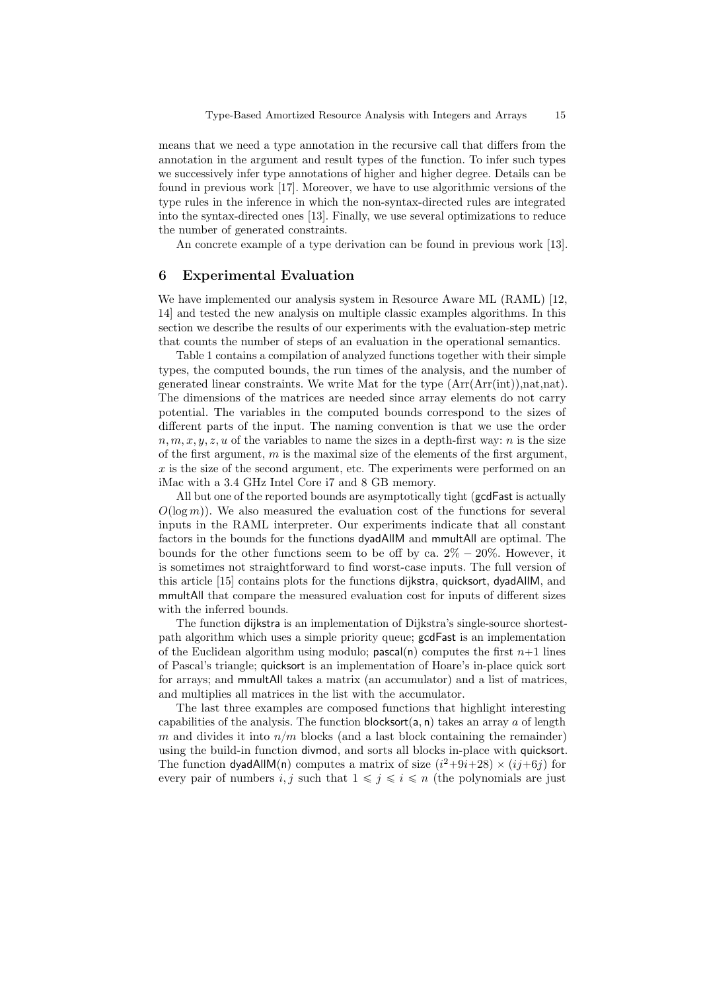means that we need a type annotation in the recursive call that differs from the annotation in the argument and result types of the function. To infer such types we successively infer type annotations of higher and higher degree. Details can be found in previous work [17]. Moreover, we have to use algorithmic versions of the type rules in the inference in which the non-syntax-directed rules are integrated into the syntax-directed ones [13]. Finally, we use several optimizations to reduce the number of generated constraints.

An concrete example of a type derivation can be found in previous work [13].

## 6 Experimental Evaluation

We have implemented our analysis system in Resource Aware ML (RAML) [12, 14] and tested the new analysis on multiple classic examples algorithms. In this section we describe the results of our experiments with the evaluation-step metric that counts the number of steps of an evaluation in the operational semantics.

Table 1 contains a compilation of analyzed functions together with their simple types, the computed bounds, the run times of the analysis, and the number of generated linear constraints. We write Mat for the type  $(Arr(Arr(int)),nat,nat)$ . The dimensions of the matrices are needed since array elements do not carry potential. The variables in the computed bounds correspond to the sizes of different parts of the input. The naming convention is that we use the order  $n, m, x, y, z, u$  of the variables to name the sizes in a depth-first way: n is the size of the first argument,  $m$  is the maximal size of the elements of the first argument,  $x$  is the size of the second argument, etc. The experiments were performed on an iMac with a 3.4 GHz Intel Core i7 and 8 GB memory.

All but one of the reported bounds are asymptotically tight (gcdFast is actually  $O(\log m)$ . We also measured the evaluation cost of the functions for several inputs in the RAML interpreter. Our experiments indicate that all constant factors in the bounds for the functions dyadAllM and mmultAll are optimal. The bounds for the other functions seem to be off by ca.  $2\% - 20\%$ . However, it is sometimes not straightforward to find worst-case inputs. The full version of this article [15] contains plots for the functions dijkstra, quicksort, dyadAllM, and mmultAll that compare the measured evaluation cost for inputs of different sizes with the inferred bounds.

The function dijkstra is an implementation of Dijkstra's single-source shortestpath algorithm which uses a simple priority queue; gcdFast is an implementation of the Euclidean algorithm using modulo; pascal(n) computes the first  $n+1$  lines of Pascal's triangle; quicksort is an implementation of Hoare's in-place quick sort for arrays; and mmultAll takes a matrix (an accumulator) and a list of matrices, and multiplies all matrices in the list with the accumulator.

The last three examples are composed functions that highlight interesting capabilities of the analysis. The function blocksort $(a, n)$  takes an array a of length m and divides it into  $n/m$  blocks (and a last block containing the remainder) using the build-in function divmod, and sorts all blocks in-place with quicksort. The function dyadAllM(n) computes a matrix of size  $(i^2+9i+28) \times (ij+6j)$  for every pair of numbers  $i, j$  such that  $1 \leq j \leq i \leq n$  (the polynomials are just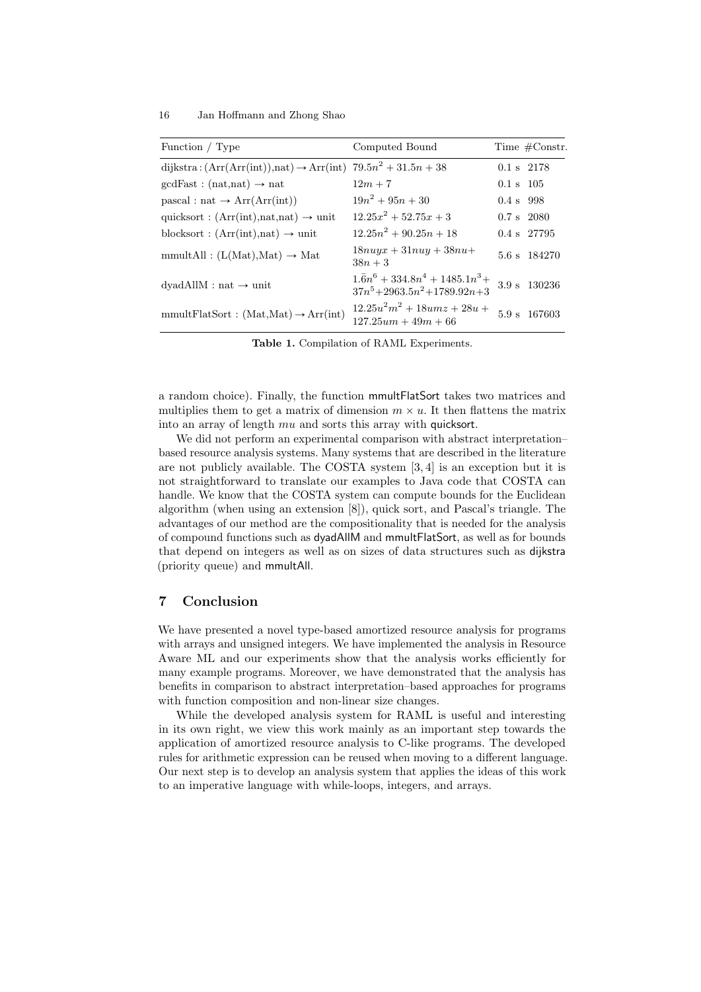| Function / Type                                                                                                      | Computed Bound                                                                |                     | Time $#Const.$ |
|----------------------------------------------------------------------------------------------------------------------|-------------------------------------------------------------------------------|---------------------|----------------|
| dijkstra: $(\text{Arr}(\text{Arr}(\text{int}))$ , nat $) \rightarrow \text{Arr}(\text{int})$ 79.5 $n^2 + 31.5n + 38$ |                                                                               | $0.1 s$ 2178        |                |
| $gcdFast : (nat, nat) \rightarrow nat$                                                                               | $12m + 7$                                                                     | $0.1 s$ 105         |                |
| $pascal : nat \rightarrow Arr(Arr(int))$                                                                             | $19n^2 + 95n + 30$                                                            | $0.4 \text{ s}$ 998 |                |
| quicksort : $(\text{Arr}(\text{int}), \text{nat}, \text{nat}) \rightarrow \text{unit}$                               | $12.25x^2 + 52.75x + 3$                                                       | $0.7 s$ 2080        |                |
| blocksort : $(Arr(int), nat) \rightarrow unit$                                                                       | $12.25n^2 + 90.25n + 18$                                                      |                     | 0.4 s 27795    |
| $mmultAll: (L(Mat), Mat) \rightarrow Mat$                                                                            | $18nuyx + 31nuy + 38nu +$<br>$38n+3$                                          |                     | 5.6 s 184270   |
| $d$ vadAllM : nat $\rightarrow$ unit                                                                                 | $1.\bar{6}n^6 + 334.8n^4 + 1485.1n^3 +$<br>$37n^5 + 2963.5n^2 + 1789.92n + 3$ |                     | 3.9 s 130236   |
| $mmultFlatSort : (Mat, Mat) \rightarrow Arr(int)$                                                                    | $12.25u^2m^2 + 18umz + 28u +$<br>$127.25um + 49m + 66$                        | 5.9 s               | 167603         |

Table 1. Compilation of RAML Experiments.

a random choice). Finally, the function mmultFlatSort takes two matrices and multiplies them to get a matrix of dimension  $m \times u$ . It then flattens the matrix into an array of length mu and sorts this array with quicksort.

We did not perform an experimental comparison with abstract interpretation– based resource analysis systems. Many systems that are described in the literature are not publicly available. The COSTA system [3, 4] is an exception but it is not straightforward to translate our examples to Java code that COSTA can handle. We know that the COSTA system can compute bounds for the Euclidean algorithm (when using an extension [8]), quick sort, and Pascal's triangle. The advantages of our method are the compositionality that is needed for the analysis of compound functions such as dyadAllM and mmultFlatSort, as well as for bounds that depend on integers as well as on sizes of data structures such as dijkstra (priority queue) and mmultAll.

## 7 Conclusion

We have presented a novel type-based amortized resource analysis for programs with arrays and unsigned integers. We have implemented the analysis in Resource Aware ML and our experiments show that the analysis works efficiently for many example programs. Moreover, we have demonstrated that the analysis has benefits in comparison to abstract interpretation–based approaches for programs with function composition and non-linear size changes.

While the developed analysis system for RAML is useful and interesting in its own right, we view this work mainly as an important step towards the application of amortized resource analysis to C-like programs. The developed rules for arithmetic expression can be reused when moving to a different language. Our next step is to develop an analysis system that applies the ideas of this work to an imperative language with while-loops, integers, and arrays.